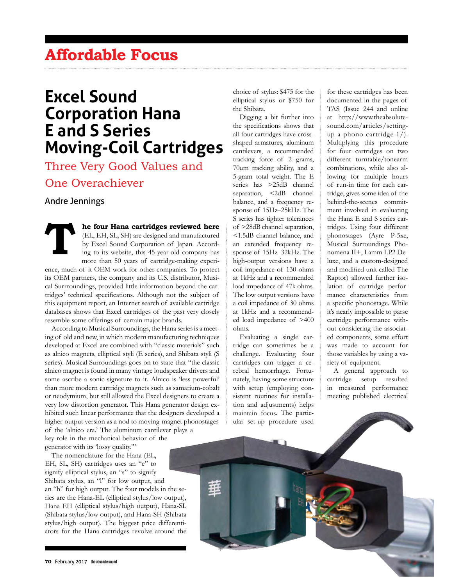## **Affordable Focus**

# **Excel Sound Corporation Hana E and S Series Moving-Coil Cartridges**

Three Very Good Values and One Overachiever

### Andre Jennings

**THE FOUR MANUS CONSUMING THE CONSUMING THE CONSUMINUE OF THE CONSUMINUE OF THE CONSUMINUE OF THE CONSUMINUE OF THE CONSUMINUE OF THE CONSUMINUE OF THE CONSUMINUE OF THE CONSUMINUE OF THE CONSUMINUE OF THE CONSUMINUE OF TH** (EL, EH, SL, SH) are designed and manufactured by Excel Sound Corporation of Japan. According to its website, this 45-year-old company has more than 50 years of cartridge-making experi-

ence, much of it OEM work for other companies. To protect its OEM partners, the company and its U.S. distributor, Musical Surrroundings, provided little information beyond the cartridges' technical specifications. Although not the subject of this equipment report, an Internet search of available cartridge databases shows that Excel cartridges of the past very closely resemble some offerings of certain major brands.

According to Musical Surroundings, the Hana series is a meeting of old and new, in which modern manufacturing techniques developed at Excel are combined with "classic materials" such as alnico magnets, elliptical styli (E series), and Shibata styli (S series). Musical Surroundings goes on to state that "the classic alnico magnet is found in many vintage loudspeaker drivers and some ascribe a sonic signature to it. Alnico is 'less powerful' than more modern cartridge magnets such as samarium-cobalt or neodymium, but still allowed the Excel designers to create a very low distortion generator. This Hana generator design exhibited such linear performance that the designers developed a higher-output version as a nod to moving-magnet phonostages of the 'alnico era.' The aluminum cantilever plays a

key role in the mechanical behavior of the generator with its 'lossy quality.'"

The nomenclature for the Hana (EL, EH, SL, SH) cartridges uses an "e" to signify elliptical stylus, an "s" to signify Shibata stylus, an "l" for low output, and an "h" for high output. The four models in the series are the Hana-EL (elliptical stylus/low output), Hana-EH (elliptical stylus/high output), Hana-SL (Shibata stylus/low output), and Hana-SH (Shibata stylus/high output). The biggest price differentiators for the Hana cartridges revolve around the

choice of stylus: \$475 for the elliptical stylus or \$750 for the Shibata.

Digging a bit further into the specifications shows that all four cartridges have crossshaped armatures, aluminum cantilevers, a recommended tracking force of 2 grams, 70µm tracking ability, and a 5-gram total weight. The E series has >25dB channel separation, <2dB channel balance, and a frequency response of 15Hz–25kHz. The S series has tighter tolerances of >28dB channel separation, <1.5dB channel balance, and an extended frequency response of 15Hz–32kHz. The high-output versions have a coil impedance of 130 ohms at 1kHz and a recommended load impedance of 47k ohms. The low output versions have a coil impedance of 30 ohms at 1kHz and a recommended load impedance of >400 ohms.

Evaluating a single cartridge can sometimes be a challenge. Evaluating four cartridges can trigger a cerebral hemorrhage. Fortunately, having some structure with setup (employing consistent routines for installation and adjustments) helps maintain focus. The particular set-up procedure used

for these cartridges has been documented in the pages of TAS (Issue 244 and online at http://www.theabsolutesound.com/articles/settingup-a-phono-cartridge-1/). Multiplying this procedure for four cartridges on two different turntable/tonearm combinations, while also allowing for multiple hours of run-in time for each cartridge, gives some idea of the behind-the-scenes commitment involved in evaluating the Hana E and S series cartridges. Using four different phonostages (Ayre P-5xe, Musical Surroundings Phonomena II+, Lamm LP2 Deluxe, and a custom-designed and modified unit called The Raptor) allowed further isolation of cartridge performance characteristics from a specific phonostage. While it's nearly impossible to parse cartridge performance without considering the associated components, some effort was made to account for those variables by using a variety of equipment.

A general approach to cartridge setup resulted in measured performance meeting published electrical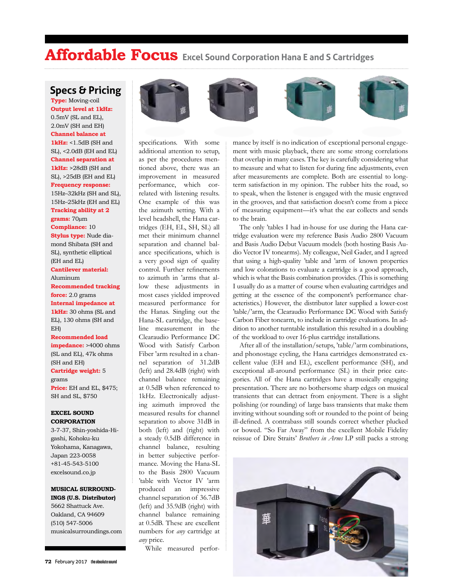## **Affordable Focus Excel Sound Corporation Hana E and S Cartridges**

### **Specs & Pricing**

**Type:** Moving-coil **Output level at 1kHz:** 0.5mV (SL and EL), 2.0mV (SH and EH) **Channel balance at 1kHz:** <1.5dB (SH and SL), <2.0dB (EH and EL) **Channel separation at 1kHz:** >28dB (SH and SL), >25dB (EH and EL) **Frequency response:** 15Hz–32kHz (SH and SL), 15Hz–25kHz (EH and EL) **Tracking ability at 2 grams:** 70µm **Compliance:** 10 **Stylus type:** Nude diamond Shibata (SH and SL), synthetic elliptical (EH and EL) **Cantilever material:** Aluminum **Recommended tracking force:** 2.0 grams **Internal impedance at 1kHz:** 30 ohms (SL and EL), 130 ohms (SH and EH) **Recommended load impedance:** >4000 ohms (SL and EL), 47k ohms (SH and EH) **Cartridge weight:** 5 grams

**Price:** EH and EL, \$475; SH and SL, \$750

#### **EXCEL SOUND CORPORATION**

3-7-37, Shin-yoshida-Higashi, Kohoku-ku Yokohama, Kanagawa, Japan 223-0058 +81-45-543-5100 excelsound.co.jp

#### **MUSICAL SURROUND-INGS (U.S. Distributor)**

5662 Shattuck Ave. Oakland, CA 94609 (510) 547-5006 musicalsurroundings.com



specifications. With some additional attention to setup, as per the procedures mentioned above, there was an improvement in measured performance, which correlated with listening results. One example of this was the azimuth setting. With a level headshell, the Hana cartridges (EH, EL, SH, SL) all met their minimum channel separation and channel balance specifications, which is a very good sign of quality control. Further refinements to azimuth in 'arms that allow these adjustments in most cases yielded improved measured performance for the Hanas. Singling out the Hana-SL cartridge, the baseline measurement in the Clearaudio Performance DC Wood with Satisfy Carbon Fiber 'arm resulted in a channel separation of 31.2dB (left) and 28.4dB (right) with channel balance remaining at 0.5dB when referenced to 1kHz. Electronically adjusting azimuth improved the measured results for channel separation to above 31dB in both (left) and (right) with a steady 0.5dB difference in channel balance, resulting in better subjective performance. Moving the Hana-SL to the Basis 2800 Vacuum 'table with Vector IV 'arm produced an impressive channel separation of 36.7dB (left) and 35.9dB (right) with channel balance remaining at 0.5dB. These are excellent numbers for *any* cartridge at *any* price.

While measured perfor-

mance by itself is no indication of exceptional personal engagement with music playback, there are some strong correlations that overlap in many cases. The key is carefully considering what to measure and what to listen for during fine adjustments, even after measurements are complete. Both are essential to longterm satisfaction in my opinion. The rubber hits the road, so to speak, when the listener is engaged with the music engraved in the grooves, and that satisfaction doesn't come from a piece of measuring equipment—it's what the ear collects and sends to the brain.

The only 'tables I had in-house for use during the Hana cartridge evaluation were my reference Basis Audio 2800 Vacuum and Basis Audio Debut Vacuum models (both hosting Basis Audio Vector IV tonearms). My colleague, Neil Gader, and I agreed that using a high-quality 'table and 'arm of known properties and low colorations to evaluate a cartridge is a good approach, which is what the Basis combination provides. (This is something I usually do as a matter of course when evaluating cartridges and getting at the essence of the component's performance characteristics.) However, the distributor later supplied a lower-cost 'table/'arm, the Clearaudio Performance DC Wood with Satisfy Carbon Fiber tonearm, to include in cartridge evaluations. In addition to another turntable installation this resulted in a doubling of the workload to over 16-plus cartridge installations.

After all of the installation/setups, 'table/'arm combinations, and phonostage cycling, the Hana cartridges demonstrated excellent value (EH and EL), excellent performance (SH), and exceptional all-around performance (SL) in their price categories. All of the Hana cartridges have a musically engaging presentation. There are no bothersome sharp edges on musical transients that can detract from enjoyment. There is a slight polishing (or rounding) of large bass transients that make them inviting without sounding soft or rounded to the point of being ill-defined. A contrabass still sounds correct whether plucked or bowed. "So Far Away" from the excellent Mobile Fidelity reissue of Dire Straits' *Brothers in Arms* LP still packs a strong